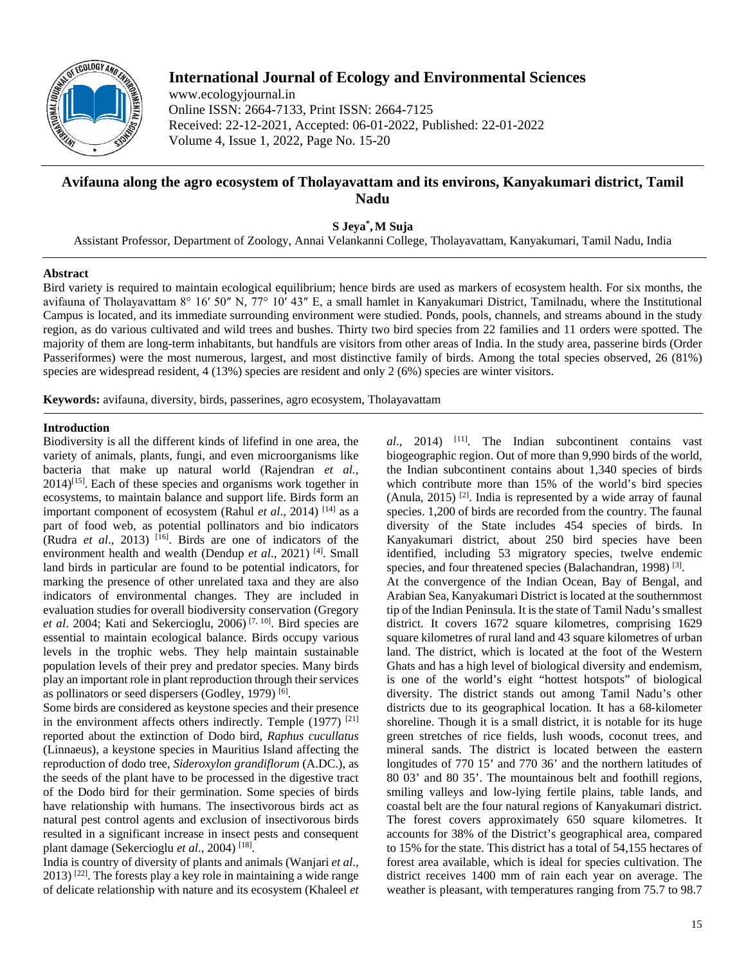

# **International Journal of Ecology and Environmental Sciences**

www.ecologyjournal.in Online ISSN: 2664-7133, Print ISSN: 2664-7125 Received: 22-12-2021, Accepted: 06-01-2022, Published: 22-01-2022 Volume 4, Issue 1, 2022, Page No. 15-20

## **Avifauna along the agro ecosystem of Tholayavattam and its environs, Kanyakumari district, Tamil Nadu**

**S Jeya\* , M Suja**

Assistant Professor, Department of Zoology, Annai Velankanni College, Tholayavattam, Kanyakumari, Tamil Nadu, India

## **Abstract**

Bird variety is required to maintain ecological equilibrium; hence birds are used as markers of ecosystem health. For six months, the avifauna of Tholayavattam 8° 16′ 50″ N, 77° 10′ 43″ E, a small hamlet in Kanyakumari District, Tamilnadu, where the Institutional Campus is located, and its immediate surrounding environment were studied. Ponds, pools, channels, and streams abound in the study region, as do various cultivated and wild trees and bushes. Thirty two bird species from 22 families and 11 orders were spotted. The majority of them are long-term inhabitants, but handfuls are visitors from other areas of India. In the study area, passerine birds (Order Passeriformes) were the most numerous, largest, and most distinctive family of birds. Among the total species observed, 26 (81%) species are widespread resident, 4 (13%) species are resident and only 2 (6%) species are winter visitors.

**Keywords:** avifauna, diversity, birds, passerines, agro ecosystem, Tholayavattam

## **Introduction**

Biodiversity is all the different kinds of lifefind in one area, the variety of animals, plants, fungi, and even microorganisms like bacteria that make up natural world (Rajendran *et al.*,  $2014$ <sup>[15]</sup>. Each of these species and organisms work together in ecosystems, to maintain balance and support life. Birds form an important component of ecosystem (Rahul *et al.*, 2014)<sup>[14]</sup> as a part of food web, as potential pollinators and bio indicators (Rudra *et al*., 2013) [16]. Birds are one of indicators of the environment health and wealth (Dendup *et al*., 2021) [4]. Small land birds in particular are found to be potential indicators, for marking the presence of other unrelated taxa and they are also indicators of environmental changes. They are included in evaluation studies for overall biodiversity conservation (Gregory *et al*. 2004; Kati and Sekercioglu, 2006) [7, 10]. Bird species are essential to maintain ecological balance. Birds occupy various levels in the trophic webs. They help maintain sustainable population levels of their prey and predator species. Many birds play an important role in plant reproduction through their services as pollinators or seed dispersers (Godley, 1979) [6].

Some birds are considered as keystone species and their presence in the environment affects others indirectly. Temple (1977)<sup>[21]</sup> reported about the extinction of Dodo bird, *Raphus cucullatus*  (Linnaeus), a keystone species in Mauritius Island affecting the reproduction of dodo tree, *Sideroxylon grandiflorum* (A.DC.), as the seeds of the plant have to be processed in the digestive tract of the Dodo bird for their germination. Some species of birds have relationship with humans. The insectivorous birds act as natural pest control agents and exclusion of insectivorous birds resulted in a significant increase in insect pests and consequent plant damage (Sekercioglu *et al*., 2004) [18].

India is country of diversity of plants and animals (Wanjari *et al*.,  $2013$ ) <sup>[22]</sup>. The forests play a key role in maintaining a wide range of delicate relationship with nature and its ecosystem (Khaleel *et*  *al*., 2014) [11]. The Indian subcontinent contains vast biogeographic region. Out of more than 9,990 birds of the world, the Indian subcontinent contains about 1,340 species of birds which contribute more than 15% of the world's bird species (Anula, 2015)<sup>[2]</sup>. India is represented by a wide array of faunal species. 1,200 of birds are recorded from the country. The faunal diversity of the State includes 454 species of birds. In Kanyakumari district, about 250 bird species have been identified, including 53 migratory species, twelve endemic species, and four threatened species (Balachandran, 1998)<sup>[3]</sup>. At the convergence of the Indian Ocean, Bay of Bengal, and Arabian Sea, Kanyakumari District is located at the southernmost tip of the Indian Peninsula. It is the state of Tamil Nadu's smallest district. It covers 1672 square kilometres, comprising 1629 square kilometres of rural land and 43 square kilometres of urban land. The district, which is located at the foot of the Western Ghats and has a high level of biological diversity and endemism, is one of the world's eight "hottest hotspots" of biological diversity. The district stands out among Tamil Nadu's other districts due to its geographical location. It has a 68-kilometer shoreline. Though it is a small district, it is notable for its huge green stretches of rice fields, lush woods, coconut trees, and mineral sands. The district is located between the eastern longitudes of 770 15' and 770 36' and the northern latitudes of 80 03' and 80 35'. The mountainous belt and foothill regions, smiling valleys and low-lying fertile plains, table lands, and coastal belt are the four natural regions of Kanyakumari district. The forest covers approximately 650 square kilometres. It accounts for 38% of the District's geographical area, compared to 15% for the state. This district has a total of 54,155 hectares of forest area available, which is ideal for species cultivation. The district receives 1400 mm of rain each year on average. The weather is pleasant, with temperatures ranging from 75.7 to 98.7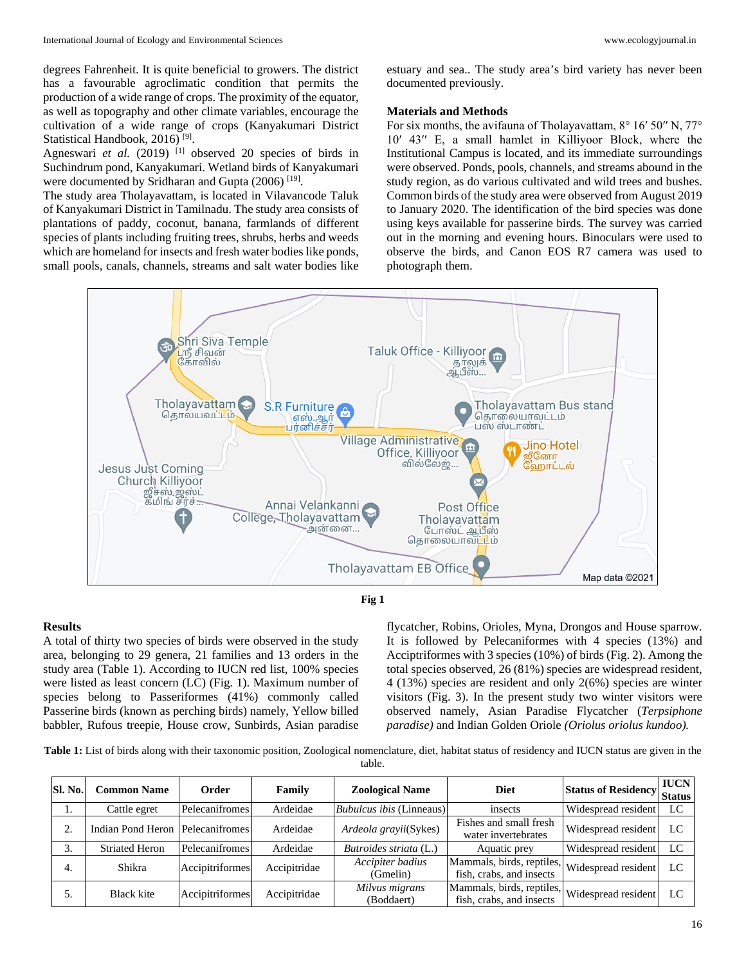degrees Fahrenheit. It is quite beneficial to growers. The district has a favourable agroclimatic condition that permits the production of a wide range of crops. The proximity of the equator, as well as topography and other climate variables, encourage the cultivation of a wide range of crops (Kanyakumari District Statistical Handbook, 2016)<sup>[9]</sup>.

Agneswari *et al.* (2019)<sup>[1]</sup> observed 20 species of birds in Suchindrum pond, Kanyakumari. Wetland birds of Kanyakumari were documented by Sridharan and Gupta (2006)<sup>[19]</sup>.

The study area Tholayavattam, is located in Vilavancode Taluk of Kanyakumari District in Tamilnadu. The study area consists of plantations of paddy, coconut, banana, farmlands of different species of plants including fruiting trees, shrubs, herbs and weeds which are homeland for insects and fresh water bodies like ponds, small pools, canals, channels, streams and salt water bodies like

estuary and sea.. The study area's bird variety has never been documented previously.

#### **Materials and Methods**

For six months, the avifauna of Tholayavattam, 8° 16′ 50′′ N, 77° 10′ 43′′ E, a small hamlet in Killiyoor Block, where the Institutional Campus is located, and its immediate surroundings were observed. Ponds, pools, channels, and streams abound in the study region, as do various cultivated and wild trees and bushes. Common birds of the study area were observed from August 2019 to January 2020. The identification of the bird species was done using keys available for passerine birds. The survey was carried out in the morning and evening hours. Binoculars were used to observe the birds, and Canon EOS R7 camera was used to photograph them.



#### **Fig 1**

#### **Results**

A total of thirty two species of birds were observed in the study area, belonging to 29 genera, 21 families and 13 orders in the study area (Table 1). According to IUCN red list, 100% species were listed as least concern (LC) (Fig. 1). Maximum number of species belong to Passeriformes (41%) commonly called Passerine birds (known as perching birds) namely, Yellow billed babbler, Rufous treepie, House crow, Sunbirds, Asian paradise

flycatcher, Robins, Orioles, Myna, Drongos and House sparrow. It is followed by Pelecaniformes with 4 species (13%) and Acciptriformes with 3 species (10%) of birds (Fig. 2). Among the total species observed, 26 (81%) species are widespread resident, 4 (13%) species are resident and only 2(6%) species are winter visitors (Fig. 3). In the present study two winter visitors were observed namely, Asian Paradise Flycatcher (*Terpsiphone paradise)* and Indian Golden Oriole *(Oriolus oriolus kundoo).*

**Table 1:** List of birds along with their taxonomic position, Zoological nomenclature, diet, habitat status of residency and IUCN status are given in the table.

| Sl. No. | <b>Common Name</b>                 | Order           | Family       | <b>Zoological Name</b>          | <b>Diet</b>                                                               | <b>Status of Residency</b> | <b>IUCN</b><br>Status |
|---------|------------------------------------|-----------------|--------------|---------------------------------|---------------------------------------------------------------------------|----------------------------|-----------------------|
| ı.      | Cattle egret                       | Pelecanifromes  | Ardeidae     | <i>Bubulcus ibis</i> (Linneaus) | insects                                                                   | Widespread resident        | LC.                   |
| 2.      | Indian Pond Heron   Pelecanifromes |                 | Ardeidae     | <i>Ardeola grayii</i> (Sykes)   | Fishes and small fresh<br>water invertebrates                             | Widespread resident        | LC                    |
| 3.      | <b>Striated Heron</b>              | Pelecanifromes  | Ardeidae     | Butroides striata (L.)          | Aquatic prey                                                              | Widespread resident        | LC                    |
| 4.      | Shikra                             | Accipitriformes | Accipitridae | Accipiter badius<br>(Gmelin)    | Mammals, birds, reptiles, Widespread resident<br>fish, crabs, and insects |                            | LC                    |
| 5.      | <b>Black kite</b>                  | Accipitriformes | Accipitridae | Milvus migrans<br>(Boddaert)    | Mammals, birds, reptiles, Widespread resident<br>fish, crabs, and insects |                            | LC                    |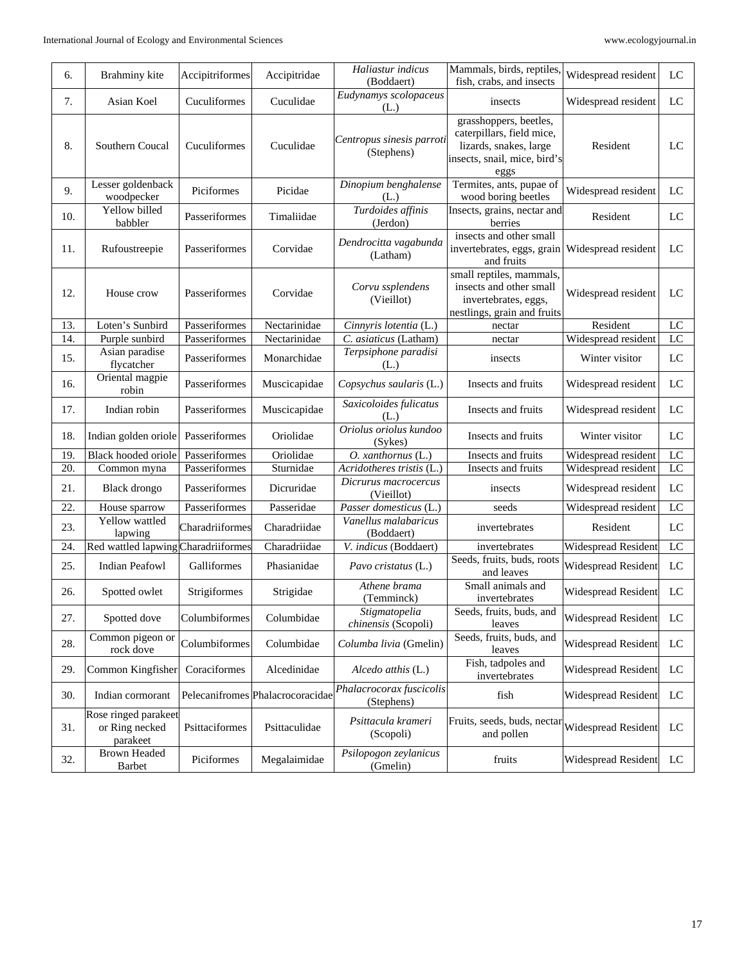| 6.  | Brahminy kite                                      | Accipitriformes | Accipitridae                     | Haliastur indicus<br>(Boddaert)         | Mammals, birds, reptiles,<br>fish, crabs, and insects                                                                 | Widespread resident        | LC                         |
|-----|----------------------------------------------------|-----------------|----------------------------------|-----------------------------------------|-----------------------------------------------------------------------------------------------------------------------|----------------------------|----------------------------|
| 7.  | Asian Koel                                         | Cuculiformes    | Cuculidae                        | Eudynamys scolopaceus<br>(L.)           | insects                                                                                                               | Widespread resident        | $_{\rm LC}$                |
| 8.  | Southern Coucal                                    | Cuculiformes    | Cuculidae                        | Centropus sinesis parroti<br>(Stephens) | grasshoppers, beetles,<br>caterpillars, field mice,<br>lizards, snakes, large<br>insects, snail, mice, bird's<br>eggs | Resident                   | LC                         |
| 9.  | Lesser goldenback<br>woodpecker                    | Piciformes      | Picidae                          | Dinopium benghalense<br>(L.)            | Termites, ants, pupae of<br>wood boring beetles                                                                       | Widespread resident        | LC                         |
| 10. | Yellow billed<br>babbler                           | Passeriformes   | Timaliidae                       | Turdoides affinis<br>(Jerdon)           | Insects, grains, nectar and<br>berries                                                                                | Resident                   | LC                         |
| 11. | Rufoustreepie                                      | Passeriformes   | Corvidae                         | Dendrocitta vagabunda<br>(Latham)       | insects and other small<br>invertebrates, eggs, grain<br>and fruits                                                   | Widespread resident        | LC                         |
| 12. | House crow                                         | Passeriformes   | Corvidae                         | Corvu ssplendens<br>(Vieillot)          | small reptiles, mammals,<br>insects and other small<br>invertebrates, eggs,<br>nestlings, grain and fruits            | Widespread resident        | LC                         |
| 13. | Loten's Sunbird                                    | Passeriformes   | $\overline{\text{N}$ ectarinidae | Cinnyris lotentia (L.)                  | nectar                                                                                                                | Resident                   | LC                         |
| 14. | Purple sunbird                                     | Passeriformes   | Nectarinidae                     | C. asiaticus (Latham)                   | nectar                                                                                                                | Widespread resident        | $\overline{LC}$            |
| 15. | Asian paradise<br>flycatcher                       | Passeriformes   | Monarchidae                      | Terpsiphone paradisi<br>(L.)            | insects                                                                                                               | Winter visitor             | $_{\rm LC}$                |
| 16. | Oriental magpie<br>robin                           | Passeriformes   | Muscicapidae                     | Copsychus saularis (L.)                 | Insects and fruits                                                                                                    | Widespread resident        | LC                         |
| 17. | Indian robin                                       | Passeriformes   | Muscicapidae                     | Saxicoloides fulicatus<br>(L.)          | Insects and fruits                                                                                                    | Widespread resident        | LC                         |
| 18. | Indian golden oriole                               | Passeriformes   | Oriolidae                        | Oriolus oriolus kundoo<br>(Sykes)       | Insects and fruits                                                                                                    | Winter visitor             | LC                         |
| 19. | Black hooded oriole                                | Passeriformes   | Oriolidae                        | O. xanthornus (L.)                      | Insects and fruits                                                                                                    | Widespread resident        | LC                         |
| 20. | Common myna                                        | Passeriformes   | Sturnidae                        | Acridotheres tristis (L.)               | Insects and fruits                                                                                                    | Widespread resident        | LC                         |
| 21. | <b>Black</b> drongo                                | Passeriformes   | Dicruridae                       | Dicrurus macrocercus<br>(Vieillot)      | insects                                                                                                               | Widespread resident        | LC                         |
| 22. | House sparrow                                      | Passeriformes   | Passeridae                       | Passer domesticus (L.)                  | seeds                                                                                                                 | Widespread resident        | LC                         |
| 23. | Yellow wattled<br>lapwing                          | Charadriiformes | Charadriidae                     | Vanellus malabaricus<br>(Boddaert)      | invertebrates                                                                                                         | Resident                   | LC                         |
| 24. | Red wattled lapwing Charadriiformes                |                 | Charadriidae                     | V. indicus (Boddaert)                   | invertebrates                                                                                                         | <b>Widespread Resident</b> | LC                         |
| 25. | <b>Indian Peafowl</b>                              | Galliformes     | Phasianidae                      | Pavo cristatus (L.)                     | Seeds, fruits, buds, roots<br>and leaves                                                                              | Widespread Resident        | LC                         |
| 26. | Spotted owlet                                      | Strigiformes    | Strigidae                        | Athene brama<br>(Temminck)              | Small animals and<br>invertebrates                                                                                    | Widespread Resident        | LC                         |
| 27. | Spotted dove                                       | Columbiformes   | Columbidae                       | Stigmatopelia<br>chinensis (Scopoli)    | Seeds, fruits, buds, and<br>leaves                                                                                    | Widespread Resident        | LC                         |
| 28. | Common pigeon or<br>rock dove                      | Columbiformes   | Columbidae                       | Columba livia (Gmelin)                  | Seeds, fruits, buds, and<br>leaves                                                                                    | Widespread Resident        | $\mathop{\rm LC}\nolimits$ |
| 29. | Common Kingfisher                                  | Coraciformes    | Alcedinidae                      | Alcedo atthis (L.)                      | Fish, tadpoles and<br>invertebrates                                                                                   | Widespread Resident        | LC                         |
| 30. | Indian cormorant                                   |                 | Pelecanifromes Phalacrocoracidae | Phalacrocorax fuscicolis<br>(Stephens)  | fish                                                                                                                  | Widespread Resident        | LC                         |
| 31. | Rose ringed parakeet<br>or Ring necked<br>parakeet | Psittaciformes  | Psittaculidae                    | Psittacula krameri<br>(Scopoli)         | Fruits, seeds, buds, nectar<br>and pollen                                                                             | Widespread Resident        | LC                         |
| 32. | <b>Brown Headed</b><br>Barbet                      | Piciformes      | Megalaimidae                     | Psilopogon zeylanicus<br>(Gmelin)       | fruits                                                                                                                | Widespread Resident        | LC                         |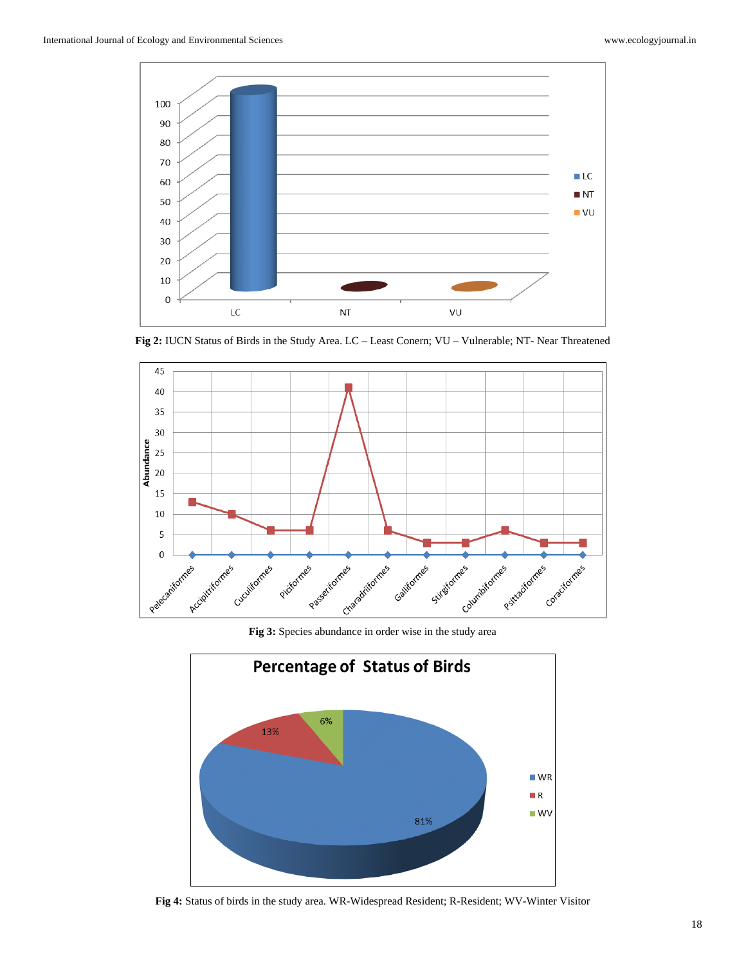

**Fig 2:** IUCN Status of Birds in the Study Area. LC – Least Conern; VU – Vulnerable; NT- Near Threatened



**Fig 3:** Species abundance in order wise in the study area



**Fig 4:** Status of birds in the study area. WR-Widespread Resident; R-Resident; WV-Winter Visitor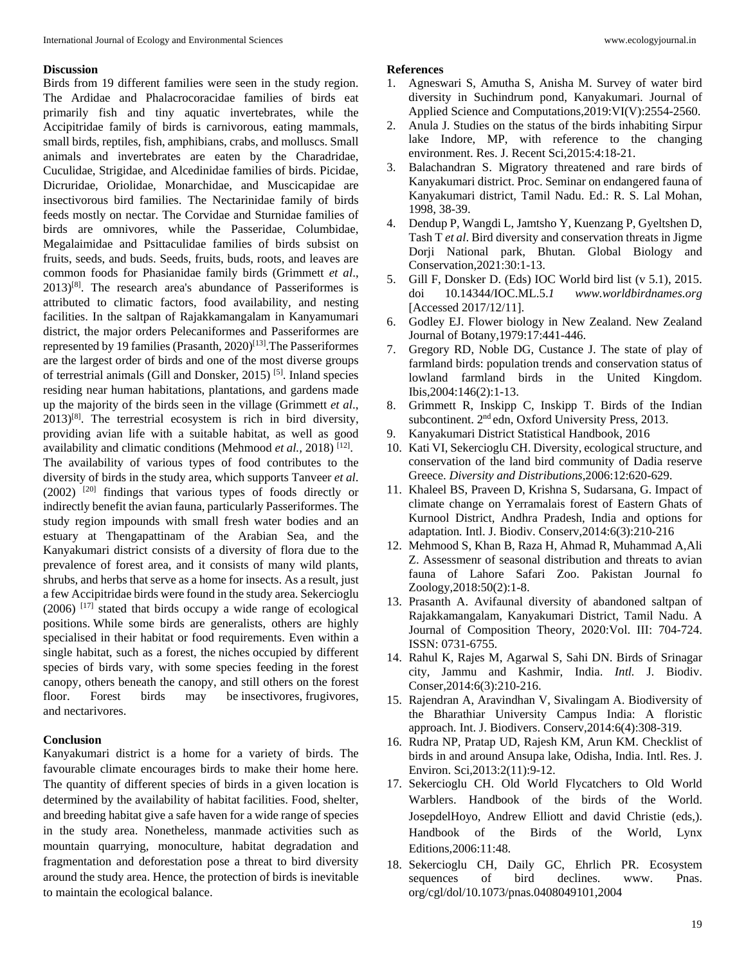#### **Discussion**

Birds from 19 different families were seen in the study region. The Ardidae and Phalacrocoracidae families of birds eat primarily fish and tiny aquatic invertebrates, while the Accipitridae family of birds is carnivorous, eating mammals, small birds, reptiles, fish, amphibians, crabs, and molluscs. Small animals and invertebrates are eaten by the Charadridae, Cuculidae, Strigidae, and Alcedinidae families of birds. Picidae, Dicruridae, Oriolidae, Monarchidae, and Muscicapidae are insectivorous bird families. The Nectarinidae family of birds feeds mostly on nectar. The Corvidae and Sturnidae families of birds are omnivores, while the Passeridae, Columbidae, Megalaimidae and Psittaculidae families of birds subsist on fruits, seeds, and buds. Seeds, fruits, buds, roots, and leaves are common foods for Phasianidae family birds (Grimmett *et al*.,  $2013$ <sup>[8]</sup>. The research area's abundance of Passeriformes is attributed to climatic factors, food availability, and nesting facilities. In the saltpan of Rajakkamangalam in Kanyamumari district, the major orders Pelecaniformes and Passeriformes are represented by 19 families (Prasanth,  $2020$ <sup>[13]</sup>. The Passeriformes are the largest order of birds and one of the most diverse groups of terrestrial animals (Gill and Donsker, 2015) [5]. Inland species residing near human habitations, plantations, and gardens made up the majority of the birds seen in the village (Grimmett *et al*.,  $2013$ <sup>[8]</sup>. The terrestrial ecosystem is rich in bird diversity, providing avian life with a suitable habitat, as well as good availability and climatic conditions (Mehmood *et al.*, 2018)<sup>[12]</sup>. The availability of various types of food contributes to the diversity of birds in the study area, which supports Tanveer *et al*.  $(2002)$  <sup>[20]</sup> findings that various types of foods directly or indirectly benefit the avian fauna, particularly Passeriformes. The study region impounds with small fresh water bodies and an estuary at Thengapattinam of the Arabian Sea, and the Kanyakumari district consists of a diversity of flora due to the prevalence of forest area, and it consists of many wild plants, shrubs, and herbs that serve as a home for insects. As a result, just a few Accipitridae birds were found in the study area. Sekercioglu (2006) [17] stated that birds occupy a wide range of ecological positions. While some birds are generalists, others are highly specialised in their habitat or food requirements. Even within a single habitat, such as a forest, the niches occupied by different species of birds vary, with some species feeding in the forest canopy, others beneath the canopy, and still others on the forest<br>floor. Forest birds may be insectivores, frugivores. Forest birds may be insectivores, frugivores, and nectarivores.

## **Conclusion**

Kanyakumari district is a home for a variety of birds. The favourable climate encourages birds to make their home here. The quantity of different species of birds in a given location is determined by the availability of habitat facilities. Food, shelter, and breeding habitat give a safe haven for a wide range of species in the study area. Nonetheless, manmade activities such as mountain quarrying, monoculture, habitat degradation and fragmentation and deforestation pose a threat to bird diversity around the study area. Hence, the protection of birds is inevitable to maintain the ecological balance.

#### **References**

- 1. Agneswari S, Amutha S, Anisha M. Survey of water bird diversity in Suchindrum pond, Kanyakumari. Journal of Applied Science and Computations,2019:VI(V):2554-2560.
- 2. Anula J. Studies on the status of the birds inhabiting Sirpur lake Indore, MP, with reference to the changing environment. Res. J. Recent Sci,2015:4:18-21.
- 3. Balachandran S. Migratory threatened and rare birds of Kanyakumari district. Proc. Seminar on endangered fauna of Kanyakumari district, Tamil Nadu. Ed.: R. S. Lal Mohan, 1998, 38-39.
- 4. Dendup P, Wangdi L, Jamtsho Y, Kuenzang P, Gyeltshen D, Tash T *et al*. Bird diversity and conservation threats in Jigme Dorji National park, Bhutan*.* Global Biology and Conservation,2021:30:1-13.
- 5. Gill F, Donsker D. (Eds) IOC World bird list (v 5.1), 2015. doi 10.14344/IOC.ML.5.*1 www.worldbirdnames.org* [Accessed 2017/12/11].
- 6. Godley EJ. Flower biology in New Zealand. New Zealand Journal of Botany,1979:17:441-446.
- 7. Gregory RD, Noble DG, Custance J. The state of play of farmland birds: population trends and conservation status of lowland farmland birds in the United Kingdom. Ibis,2004:146(2):1-13.
- 8. Grimmett R, Inskipp C, Inskipp T. Birds of the Indian subcontinent. 2<sup>nd</sup> edn, Oxford University Press, 2013.
- 9. Kanyakumari District Statistical Handbook, 2016
- 10. Kati VI, Sekercioglu CH. Diversity, ecological structure, and conservation of the land bird community of Dadia reserve Greece. *Diversity and Distributions*,2006:12:620-629.
- 11. Khaleel BS, Praveen D, Krishna S, Sudarsana, G. Impact of climate change on Yerramalais forest of Eastern Ghats of Kurnool District, Andhra Pradesh, India and options for adaptation*.* Intl. J. Biodiv. Conserv,2014:6(3):210-216
- 12. Mehmood S, Khan B, Raza H, Ahmad R, Muhammad A,Ali Z. Assessmenr of seasonal distribution and threats to avian fauna of Lahore Safari Zoo. Pakistan Journal fo Zoology,2018:50(2):1-8.
- 13. Prasanth A. Avifaunal diversity of abandoned saltpan of Rajakkamangalam, Kanyakumari District, Tamil Nadu. A Journal of Composition Theory, 2020:Vol. III: 704-724. ISSN: 0731-6755.
- 14. Rahul K, Rajes M, Agarwal S, Sahi DN. Birds of Srinagar city, Jammu and Kashmir, India. *Intl.* J. Biodiv. Conser,2014:6(3):210-216.
- 15. Rajendran A, Aravindhan V, Sivalingam A. Biodiversity of the Bharathiar University Campus India: A floristic approach. Int. J. Biodivers. Conserv,2014:6(4):308-319.
- 16. Rudra NP, Pratap UD, Rajesh KM, Arun KM. Checklist of birds in and around Ansupa lake, Odisha, India. Intl. Res. J. Environ. Sci,2013:2(11):9-12.
- 17. Sekercioglu CH. Old World Flycatchers to Old World Warblers. Handbook of the birds of the World. JosepdelHoyo, Andrew Elliott and david Christie (eds,). Handbook of the Birds of the World, Lynx Editions,2006:11:48.
- 18. Sekercioglu CH, Daily GC, Ehrlich PR. Ecosystem sequences of bird declines. www. Pnas. org/cgl/dol/10.1073/pnas.0408049101,2004